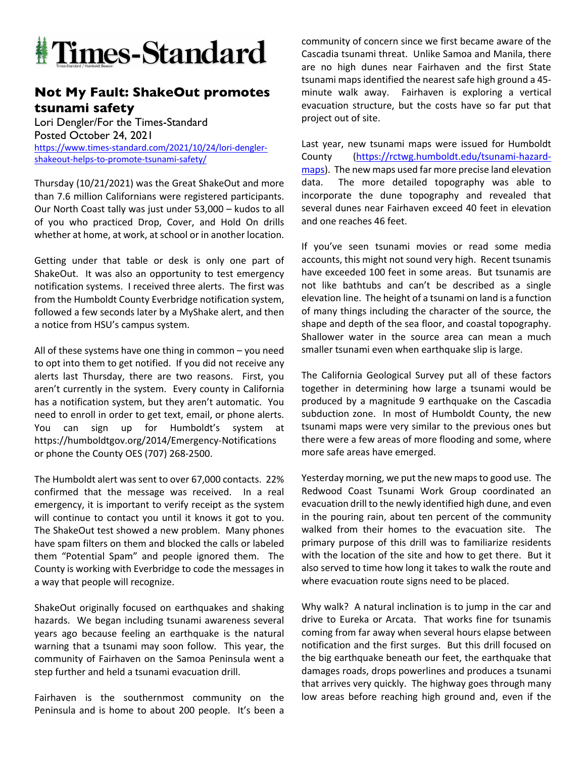

## **Not My Fault: ShakeOut promotes tsunami safety**

Lori Dengler/For the Times-Standard Posted October 24, 2021 https://www.times-standard.com/2021/10/24/lori-denglershakeout-helps-to-promote-tsunami-safety/

Thursday (10/21/2021) was the Great ShakeOut and more than 7.6 million Californians were registered participants. Our North Coast tally was just under 53,000 – kudos to all of you who practiced Drop, Cover, and Hold On drills whether at home, at work, at school or in another location.

Getting under that table or desk is only one part of ShakeOut. It was also an opportunity to test emergency notification systems. I received three alerts. The first was from the Humboldt County Everbridge notification system, followed a few seconds later by a MyShake alert, and then a notice from HSU's campus system.

All of these systems have one thing in common – you need to opt into them to get notified. If you did not receive any alerts last Thursday, there are two reasons. First, you aren't currently in the system. Every county in California has a notification system, but they aren't automatic. You need to enroll in order to get text, email, or phone alerts. You can sign up for Humboldt's system at https://humboldtgov.org/2014/Emergency-Notifications or phone the County OES (707) 268-2500.

The Humboldt alert was sent to over 67,000 contacts. 22% confirmed that the message was received. In a real emergency, it is important to verify receipt as the system will continue to contact you until it knows it got to you. The ShakeOut test showed a new problem. Many phones have spam filters on them and blocked the calls or labeled them "Potential Spam" and people ignored them. The County is working with Everbridge to code the messages in a way that people will recognize.

ShakeOut originally focused on earthquakes and shaking hazards. We began including tsunami awareness several years ago because feeling an earthquake is the natural warning that a tsunami may soon follow. This year, the community of Fairhaven on the Samoa Peninsula went a step further and held a tsunami evacuation drill.

Fairhaven is the southernmost community on the Peninsula and is home to about 200 people. It's been a

community of concern since we first became aware of the Cascadia tsunami threat. Unlike Samoa and Manila, there are no high dunes near Fairhaven and the first State tsunami maps identified the nearest safe high ground a 45 minute walk away. Fairhaven is exploring a vertical evacuation structure, but the costs have so far put that project out of site.

Last year, new tsunami maps were issued for Humboldt County (https://rctwg.humboldt.edu/tsunami-hazardmaps). The new maps used far more precise land elevation data. The more detailed topography was able to incorporate the dune topography and revealed that several dunes near Fairhaven exceed 40 feet in elevation and one reaches 46 feet.

If you've seen tsunami movies or read some media accounts, this might not sound very high. Recent tsunamis have exceeded 100 feet in some areas. But tsunamis are not like bathtubs and can't be described as a single elevation line. The height of a tsunami on land is a function of many things including the character of the source, the shape and depth of the sea floor, and coastal topography. Shallower water in the source area can mean a much smaller tsunami even when earthquake slip is large.

The California Geological Survey put all of these factors together in determining how large a tsunami would be produced by a magnitude 9 earthquake on the Cascadia subduction zone. In most of Humboldt County, the new tsunami maps were very similar to the previous ones but there were a few areas of more flooding and some, where more safe areas have emerged.

Yesterday morning, we put the new maps to good use. The Redwood Coast Tsunami Work Group coordinated an evacuation drill to the newly identified high dune, and even in the pouring rain, about ten percent of the community walked from their homes to the evacuation site. The primary purpose of this drill was to familiarize residents with the location of the site and how to get there. But it also served to time how long it takes to walk the route and where evacuation route signs need to be placed.

Why walk? A natural inclination is to jump in the car and drive to Eureka or Arcata. That works fine for tsunamis coming from far away when several hours elapse between notification and the first surges. But this drill focused on the big earthquake beneath our feet, the earthquake that damages roads, drops powerlines and produces a tsunami that arrives very quickly. The highway goes through many low areas before reaching high ground and, even if the